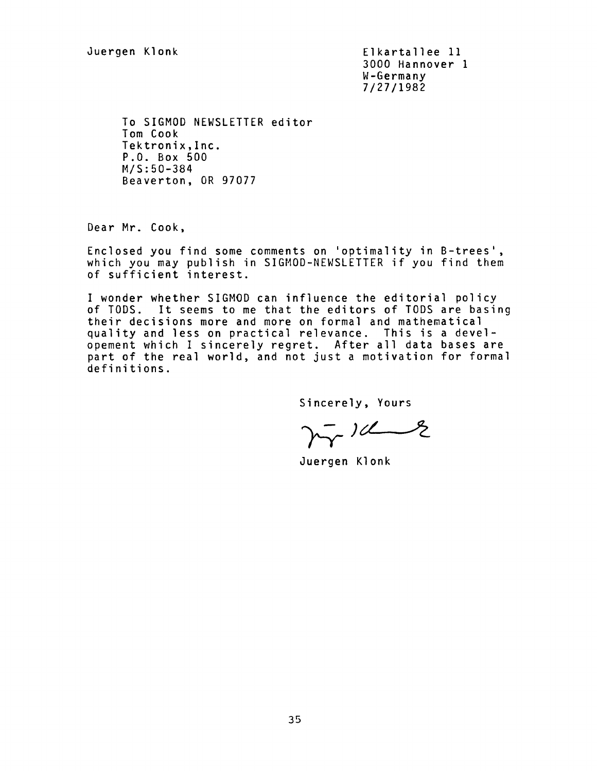Juergen Klonk Elkartallee 11 3000 Hannover 1 W-Germany 7/27/1982

To SIGMOD NEWSLETTER editor Tom Cook Tektronix,lnc. P.O. Box 500 M/S:50-384 Beaverton, OR 97077

Dear Mr. Cook,

Enclosed you find some comments on 'optimality in B-trees', which you may publish in SIGMOD-NEWSLETTER if you find them of sufficient interest.

I wonder whether SIGMOD can influence the editorial policy of TODS. It seems to me that the editors of TODS are basing their decisions more and more on formal and mathematical quality and less on practical relevance. This is a developement which I sincerely regret. After all data bases are part of the real world, and not just a motivation for formal definitions.

Sincerely, Yours

 $\gamma_{\gamma}^{-}$  )  $\alpha$ 

Juergen Klonk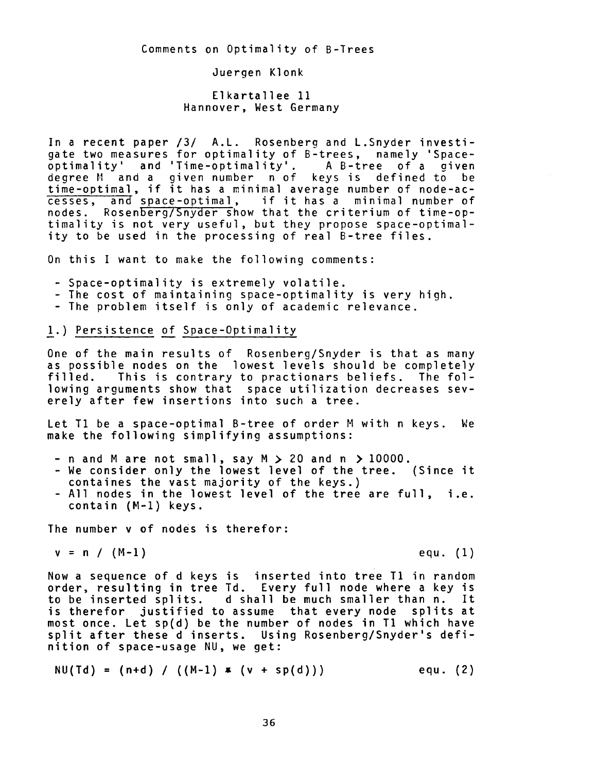Comments on Optimality of B-Trees

Juergen Klonk

Elkartallee 11 Hannover, West Germany

In a recent paper /3/ A.L. Rosenberg and L.Snyder investigate two measures for optimality of B-trees, namely 'Spaceoptimality' and 'Time-optimality' A B-tree of a given degree M and a given number n of keys is defined to be time-optimal, if it has a minimal average number of node-ac-<br>cesses, and space-optimal, if it has a minimal number of and space-optimal, if it has a minimal number of nodes. Rosenberg/Snyder show that the criterium of time-optimality is not very useful, but they propose space-optimality to be used in the processing of real B-tree files.

On this I want to make the following comments:

- Space-optimality is extremely volatile.
- The cost of maintaining space-optimality is very high.
- The problem itself is only of academic relevance.

## 1.) Persistence of Space-Optimality

One of the main results of Rosenberg/Snyder is that as many as possible nodes on the lowest levels should be completely<br>filled. This is contrary to practionars beliefs. The fol-This is contrary to practionars beliefs. The following arguments show that space utilization decreases severely after few insertions into such a tree.

Let T1 be a space-optimal B-tree of order M with n keys. We make the following simplifying assumptions:

- n and M are not small, say M > 20 and n > 10000.
- We consider only the lowest level of the tree. (Since it containes the vast majority of the keys.)
- All nodes in the lowest level of the tree are full, i.e. contain (M-l) keys.

The number v of nodes is therefor:

$$
v = n / (M-1)
$$

 $(M-1)$  equ. (1)

Now a sequence of d keys is inserted into tree T1 in random order, resulting in tree Td. Every full node where a key is to be inserted splits, d shall be much smaller than n. It is therefor justified to assume that every node splits at most once. Let sp(d) be the number of nodes in T1 which have split after these d inserts. Using Rosenberg/Snyder's definition of space-usage NU, we get:

$$
NU(Td) = (n+d) / ((M-1) * (v + sp(d)))
$$
equ. (2)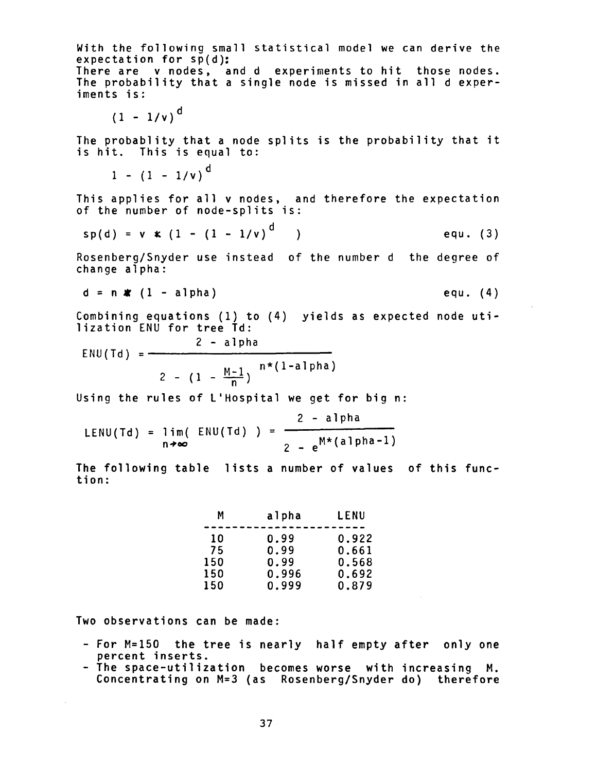With the following small statistical model we can derive the expectation for sp(d): There are v nodes, and d experiments to hit those nodes. The probability that a single node is missed in all d experiments is:

$$
(1 - 1/v)^{d}
$$

The probablity that a node splits is the probability that it is hit. This is equal to:

 $1 - (1 - 1/v)^{d}$ 

This applies for all v nodes, and therefore the expectation of the number of node-splits is:

$$
sp(d) = v * (1 - (1 - 1/v)^{d})
$$
 *equ.* (3)

Rosenberg/Snyder use instead of the number d the degree of change alpha:

$$
d = n \cdot (1 - alpha) \qquad \qquad \text{equ. (4)}
$$

Combining equations (I) to (4) yields as expected node utilization ENU for tree Td:

2 - alpha ENU(Td) = n\*(1-alpha) 2 - (1 -  $\frac{M-1}{M}$ ) n

Using the rules of L'Hospital we get for big n:

$$
LENU(Td) = lim(ENU(Td)) = \frac{2 - alpha}{2 - e^{M*(alpha - 1)}}
$$

The following table lists a number of values of this function:

| М   | alpha | LENU  |
|-----|-------|-------|
|     |       |       |
| 10  | 0.99  | 0.922 |
| 75  | 0.99  | 0.661 |
| 150 | 0.99  | 0.568 |
| 150 | 0.996 | 0.692 |
| 150 | 0.999 | 0.879 |

Two observations can be made:

- For M=150 the tree is nearly half empty after only one percent inserts.
- The space-utilization becomes worse with increasing M. Concentrating on M=3 (as Rosenberg/Snyder do) therefore